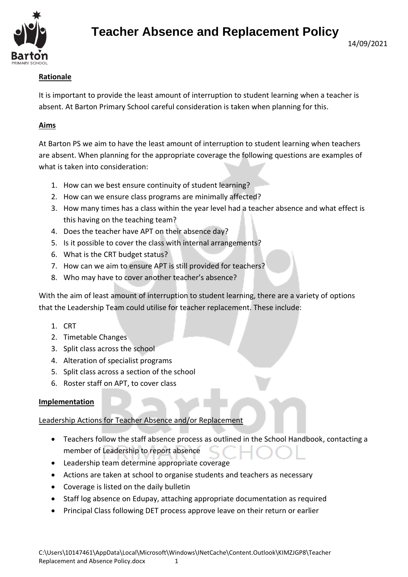

# **Teacher Absence and Replacement Policy**

# **Rationale**

It is important to provide the least amount of interruption to student learning when a teacher is absent. At Barton Primary School careful consideration is taken when planning for this.

#### **Aims**

At Barton PS we aim to have the least amount of interruption to student learning when teachers are absent. When planning for the appropriate coverage the following questions are examples of what is taken into consideration:

- 1. How can we best ensure continuity of student learning?
- 2. How can we ensure class programs are minimally affected?
- 3. How many times has a class within the year level had a teacher absence and what effect is this having on the teaching team?
- 4. Does the teacher have APT on their absence day?
- 5. Is it possible to cover the class with internal arrangements?
- 6. What is the CRT budget status?
- 7. How can we aim to ensure APT is still provided for teachers?
- 8. Who may have to cover another teacher's absence?

With the aim of least amount of interruption to student learning, there are a variety of options that the Leadership Team could utilise for teacher replacement. These include:

- 1. CRT
- 2. Timetable Changes
- 3. Split class across the school
- 4. Alteration of specialist programs
- 5. Split class across a section of the school
- 6. Roster staff on APT, to cover class

#### **Implementation**

Leadership Actions for Teacher Absence and/or Replacement

- Teachers follow the staff absence process as outlined in the School Handbook, contacting a member of Leadership to report absence
- Leadership team determine appropriate coverage
- Actions are taken at school to organise students and teachers as necessary
- Coverage is listed on the daily bulletin
- Staff log absence on Edupay, attaching appropriate documentation as required
- Principal Class following DET process approve leave on their return or earlier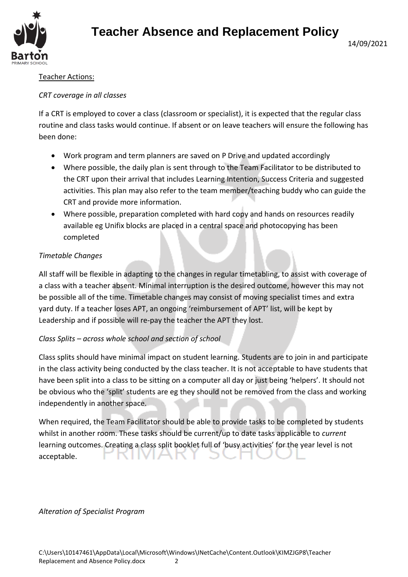

# **Teacher Absence and Replacement Policy**

## Teacher Actions:

#### *CRT coverage in all classes*

If a CRT is employed to cover a class (classroom or specialist), it is expected that the regular class routine and class tasks would continue. If absent or on leave teachers will ensure the following has been done:

- Work program and term planners are saved on P Drive and updated accordingly
- Where possible, the daily plan is sent through to the Team Facilitator to be distributed to the CRT upon their arrival that includes Learning Intention, Success Criteria and suggested activities. This plan may also refer to the team member/teaching buddy who can guide the CRT and provide more information.
- Where possible, preparation completed with hard copy and hands on resources readily available eg Unifix blocks are placed in a central space and photocopying has been completed

## *Timetable Changes*

All staff will be flexible in adapting to the changes in regular timetabling, to assist with coverage of a class with a teacher absent. Minimal interruption is the desired outcome, however this may not be possible all of the time. Timetable changes may consist of moving specialist times and extra yard duty. If a teacher loses APT, an ongoing 'reimbursement of APT' list, will be kept by Leadership and if possible will re-pay the teacher the APT they lost.

## *Class Splits – across whole school and section of school*

Class splits should have minimal impact on student learning. Students are to join in and participate in the class activity being conducted by the class teacher. It is not acceptable to have students that have been split into a class to be sitting on a computer all day or just being 'helpers'. It should not be obvious who the 'split' students are eg they should not be removed from the class and working independently in another space.

When required, the Team Facilitator should be able to provide tasks to be completed by students whilst in another room. These tasks should be current/up to date tasks applicable to *current* learning outcomes. Creating a class split booklet full of 'busy activities' for the year level is not acceptable.

## *Alteration of Specialist Program*